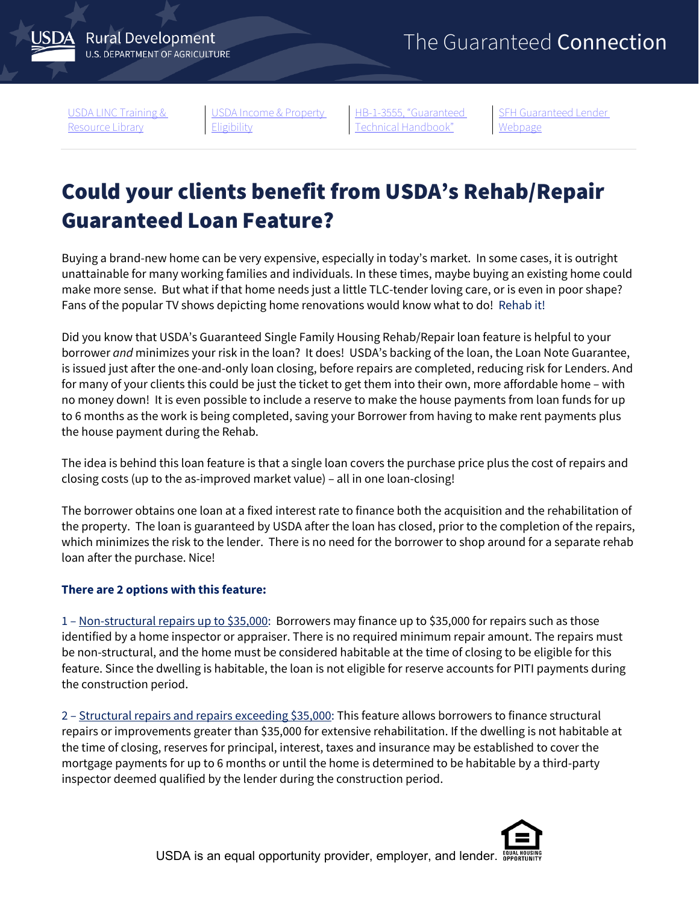**Rural Development U.S. DEPARTMENT OF AGRICULTURE** 

[USDA LINC Training &](https://www.rd.usda.gov/resources/usda-linc-training-resource-library)  [Resource Library](https://www.rd.usda.gov/resources/usda-linc-training-resource-library)

[USDA Income & Property](https://eligibility.sc.egov.usda.gov/eligibility/welcomeAction.do)  [Eligibility](https://eligibility.sc.egov.usda.gov/eligibility/welcomeAction.do)

[HB-1-3555, "Guaranteed](https://www.rd.usda.gov/resources/directives/handbooks)  [Technical Handbook"](https://www.rd.usda.gov/resources/directives/handbooks)

**SFH Guaranteed Lender** [Webpage](https://www.rd.usda.gov/page/sfh-guaranteed-lender)

## Could your clients benefit from USDA's Rehab/Repair Guaranteed Loan Feature?

Buying a brand-new home can be very expensive, especially in today's market. In some cases, it is outright unattainable for many working families and individuals. In these times, maybe buying an existing home could make more sense. But what if that home needs just a little TLC-tender loving care, or is even in poor shape? Fans of the popular TV shows depicting home renovations would know what to do! Rehab it!

Did you know that USDA's Guaranteed Single Family Housing Rehab/Repair loan feature is helpful to your borrower *and* minimizes your risk in the loan? It does! USDA's backing of the loan, the Loan Note Guarantee, is issued just after the one-and-only loan closing, before repairs are completed, reducing risk for Lenders. And for many of your clients this could be just the ticket to get them into their own, more affordable home – with no money down! It is even possible to include a reserve to make the house payments from loan funds for up to 6 months as the work is being completed, saving your Borrower from having to make rent payments plus the house payment during the Rehab.

The idea is behind this loan feature is that a single loan covers the purchase price plus the cost of repairs and closing costs (up to the as-improved market value) – all in one loan-closing!

The borrower obtains one loan at a fixed interest rate to finance both the acquisition and the rehabilitation of the property. The loan is guaranteed by USDA after the loan has closed, prior to the completion of the repairs, which minimizes the risk to the lender. There is no need for the borrower to shop around for a separate rehab loan after the purchase. Nice!

## **There are 2 options with this feature:**

1 – Non-structural repairs up to \$35,000: Borrowers may finance up to \$35,000 for repairs such as those identified by a home inspector or appraiser. There is no required minimum repair amount. The repairs must be non-structural, and the home must be considered habitable at the time of closing to be eligible for this feature. Since the dwelling is habitable, the loan is not eligible for reserve accounts for PITI payments during the construction period.

2 – Structural repairs and repairs exceeding \$35,000: This feature allows borrowers to finance structural repairs or improvements greater than \$35,000 for extensive rehabilitation. If the dwelling is not habitable at the time of closing, reserves for principal, interest, taxes and insurance may be established to cover the mortgage payments for up to 6 months or until the home is determined to be habitable by a third-party inspector deemed qualified by the lender during the construction period.